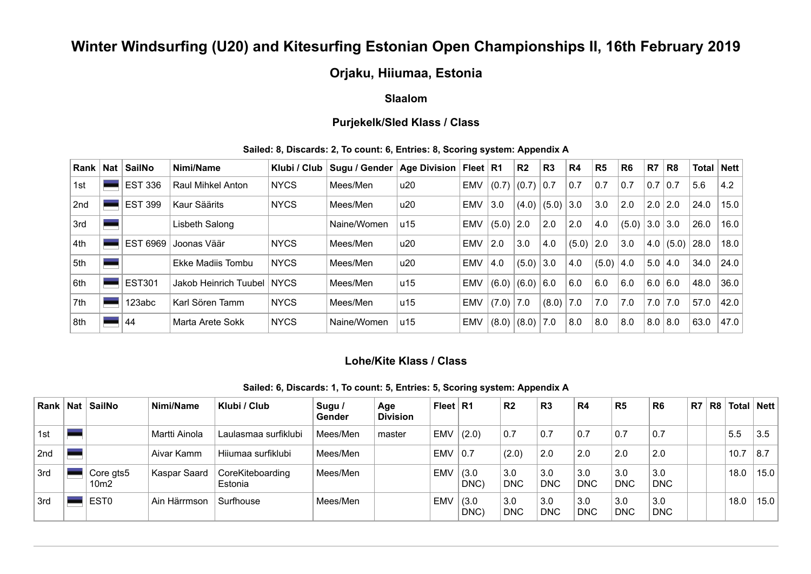# **Winter Windsurfing (U20) and Kitesurfing Estonian Open Championships II, 16th February 2019**

## **Orjaku, Hiiumaa, Estonia**

## **Slaalom**

## **Purjekelk/Sled Klass / Class**

### **Sailed: 8, Discards: 2, To count: 6, Entries: 8, Scoring system: Appendix A**

| Rank | <b>Nat</b> | <b>SailNo</b>      | Nimi/Name                  | Klubi / Club | Sugu / Gender | <b>Age Division</b> | Fleet $ R1$ |       | R <sub>2</sub> | R <sub>3</sub> | R <sub>4</sub> | R <sub>5</sub> | <b>R6</b> | R <sub>7</sub> | R <sub>8</sub>     | Total | Nett |
|------|------------|--------------------|----------------------------|--------------|---------------|---------------------|-------------|-------|----------------|----------------|----------------|----------------|-----------|----------------|--------------------|-------|------|
| 1st  |            | <b>EST 336</b>     | <b>Raul Mihkel Anton</b>   | <b>NYCS</b>  | Mees/Men      | u20                 | <b>EMV</b>  | (0.7) | (0.7)          | 0.7            | 0.7            | 0.7            | 0.7       | 0.7 0.7        |                    | 5.6   | 4.2  |
| 2nd  |            | <b>EST 399</b>     | Kaur Säärits               | <b>NYCS</b>  | Mees/Men      | u20                 | <b>EMV</b>  | 3.0   | (4.0)          | (5.0)          | 3.0            | 3.0            | 2.0       | 2.0            | 2.0                | 24.0  | 15.0 |
| 3rd  |            |                    | Lisbeth Salong             |              | Naine/Women   | u15                 | <b>EMV</b>  | (5.0) | 2.0            | 2.0            | 2.0            | 4.0            | (5.0)     | $3.0$ 3.0      |                    | 26.0  | 16.0 |
| 4th  |            | <b>EST</b><br>6969 | Joonas Väär                | <b>NYCS</b>  | Mees/Men      | u20                 | <b>EMV</b>  | 2.0   | 3.0            | 4.0            | $(5.0)$ 2.0    |                | 3.0       |                | $ 4.0 $ (5.0) 28.0 |       | 18.0 |
| 5th  |            |                    | Ekke Madiis Tombu          | <b>NYCS</b>  | Mees/Men      | u20                 | <b>EMV</b>  | 4.0   | (5.0)          | 3.0            | 4.0            | $(5.0)$ 4.0    |           | 5.0   4.0      |                    | 34.0  | 24.0 |
| 6th  |            | <b>EST301</b>      | Jakob Heinrich Tuubel NYCS |              | Mees/Men      | u15                 | <b>EMV</b>  | (6.0) | (6.0)          | 6.0            | 6.0            | 6.0            | 6.0       | 6.0 6.0        |                    | 48.0  | 36.0 |
| 7th  |            | 123abc             | Karl Sören Tamm            | <b>NYCS</b>  | Mees/Men      | u15                 | EMV         | (7.0) | 7.0            | (8.0)          | 7.0            | 7.0            | 7.0       | 7.0            | 7.0                | 57.0  | 42.0 |
| 8th  |            | 44                 | Marta Arete Sokk           | <b>NYCS</b>  | Naine/Women   | u15                 | EMV         | (8.0) | (8.0)          | 7.0            | 8.0            | 8.0            | 8.0       | 8.0   8.0      |                    | 63.0  | 47.0 |

### **Lohe/Kite Klass / Class**

#### **Sailed: 6, Discards: 1, To count: 5, Entries: 5, Scoring system: Appendix A**

| Rank | Nat   SailNo      | Nimi/Name     | Klubi / Club                | Sugu /<br><b>Gender</b> | Age<br><b>Division</b> | Fleet $R1$ |               | R <sub>2</sub>    | R <sub>3</sub>    | R4                | R <sub>5</sub>    | R6 <sup>'</sup>           | R7 | R <sub>8</sub> | <b>Total</b>    | ∣ Nett ∣ |
|------|-------------------|---------------|-----------------------------|-------------------------|------------------------|------------|---------------|-------------------|-------------------|-------------------|-------------------|---------------------------|----|----------------|-----------------|----------|
| 1st  |                   | Martti Ainola | Laulasmaa surfiklubi        | Mees/Men                | master                 | <b>EMV</b> | (2.0)         | 0.7               | 0.7               | 0.7               | 0.7               | 0.7                       |    |                | 5.5             | 3.5      |
| 2nd  |                   | Aivar Kamm    | Hiiumaa surfiklubi          | Mees/Men                |                        | <b>EMV</b> | 0.7           | (2.0)             | 2.0               | 2.0               | 2.0               | 2.0                       |    |                | 10.7            | 8.7      |
| 3rd  | Core gts5<br>10m2 | Kaspar Saard  | CoreKiteboarding<br>Estonia | Mees/Men                |                        | <b>EMV</b> | (3.0)<br>DNC) | 3.0<br><b>DNC</b> | 3.0<br><b>DNC</b> | 3.0<br><b>DNC</b> | 3.0<br><b>DNC</b> | $\vert$ 3.0<br><b>DNC</b> |    |                | 18.0            | 15.0     |
| 3rd  | EST <sub>0</sub>  | Ain Härrmson  | Surfhouse                   | Mees/Men                |                        | <b>EMV</b> | (3.0)<br>DNC) | 3.0<br><b>DNC</b> | 3.0<br><b>DNC</b> | 3.0<br><b>DNC</b> | 3.0<br><b>DNC</b> | $\vert 3.0$<br><b>DNC</b> |    |                | 18 <sub>c</sub> | 15.0     |